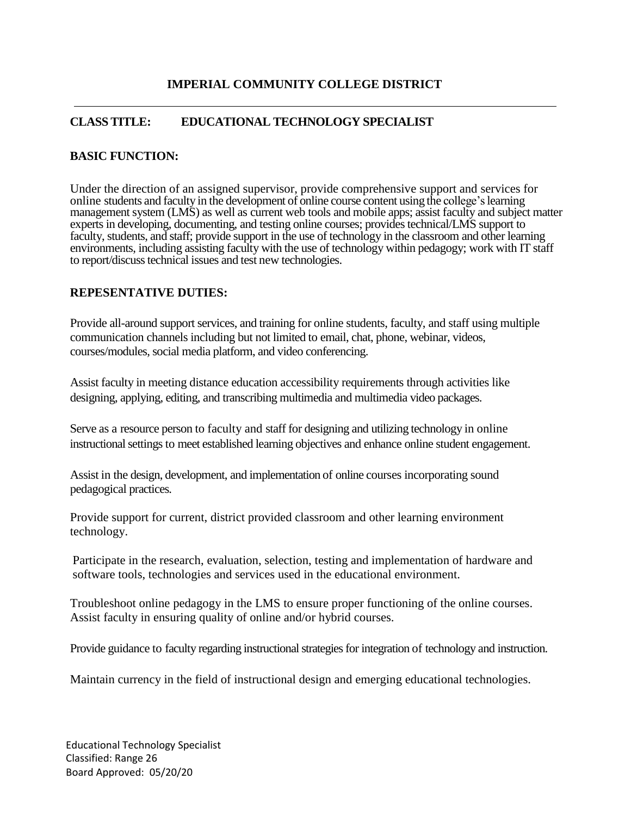## **CLASS TITLE: EDUCATIONAL TECHNOLOGY SPECIALIST**

#### **BASIC FUNCTION:**

Under the direction of an assigned supervisor, provide comprehensive support and services for online students and faculty in the development of online course content using the college'slearning management system (LMS) as well as current web tools and mobile apps; assist faculty and subject matter experts in developing, documenting, and testing online courses; provides technical/LMS support to faculty, students, and staff; provide support in the use of technology in the classroom and other learning environments, including assisting faculty with the use of technology within pedagogy; work with IT staff to report/discuss technical issues and test new technologies.

### **REPESENTATIVE DUTIES:**

Provide all-around support services, and training for online students, faculty, and staff using multiple communication channels including but not limited to email, chat, phone, webinar, videos, courses/modules, social media platform, and video conferencing.

Assist faculty in meeting distance education accessibility requirements through activities like designing, applying, editing, and transcribing multimedia and multimedia video packages.

Serve as a resource person to faculty and staff for designing and utilizing technology in online instructional settings to meet established learning objectives and enhance online student engagement.

Assist in the design, development, and implementation of online courses incorporating sound pedagogical practices.

Provide support for current, district provided classroom and other learning environment technology.

Participate in the research, evaluation, selection, testing and implementation of hardware and software tools, technologies and services used in the educational environment.

Troubleshoot online pedagogy in the LMS to ensure proper functioning of the online courses. Assist faculty in ensuring quality of online and/or hybrid courses.

Provide guidance to faculty regarding instructional strategies for integration of technology and instruction.

Maintain currency in the field of instructional design and emerging educational technologies.

Educational Technology Specialist Classified: Range 26 Board Approved: 05/20/20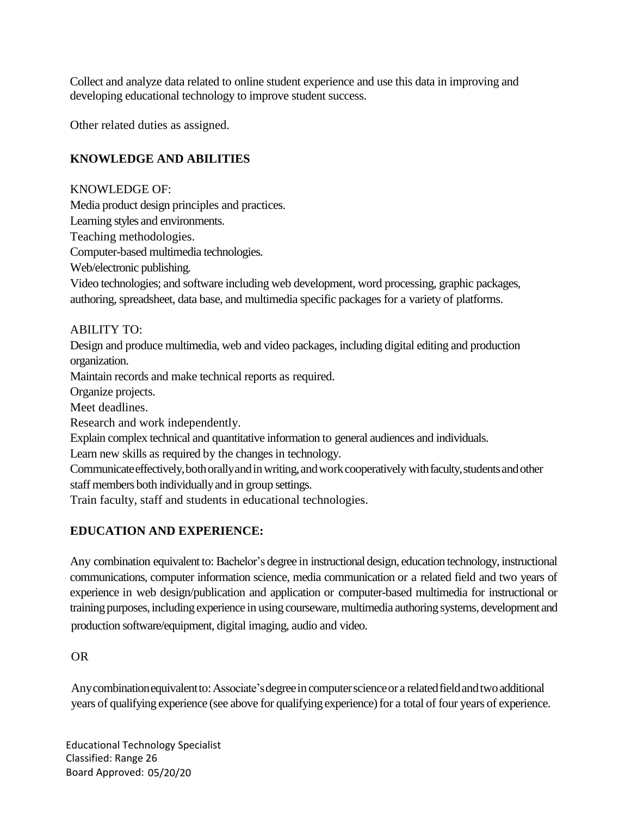Collect and analyze data related to online student experience and use this data in improving and developing educational technology to improve student success.

Other related duties as assigned.

## **KNOWLEDGE AND ABILITIES**

KNOWLEDGE OF: Media product design principles and practices. Learning styles and environments. Teaching methodologies. Computer-based multimedia technologies. Web/electronic publishing. Video technologies; and software including web development, word processing, graphic packages, authoring, spreadsheet, data base, and multimedia specific packages for a variety of platforms. ABILITY TO: Design and produce multimedia, web and video packages, including digital editing and production organization. Maintain records and make technical reports as required. Organize projects. Meet deadlines. Research and work independently. Explain complex technical and quantitative information to general audiences and individuals. Learn new skills as required by the changes in technology. Communicate effectively, both orally and in writing, and work cooperatively with faculty, students and other staff members both individually and in group settings. Train faculty, staff and students in educational technologies.

# **EDUCATION AND EXPERIENCE:**

Any combination equivalent to: Bachelor's degree in instructional design, education technology, instructional communications, computer information science, media communication or a related field and two years of experience in web design/publication and application or computer-based multimedia for instructional or training purposes, including experience in using courseware, multimedia authoring systems, development and production software/equipment, digital imaging, audio and video.

OR

Any combination equivalent to: Associate's degree in computer science or a related field and two additional years of qualifying experience (see above for qualifying experience) for a total of four years of experience.

Educational Technology Specialist Classified: Range 26 Board Approved: 05/20/20